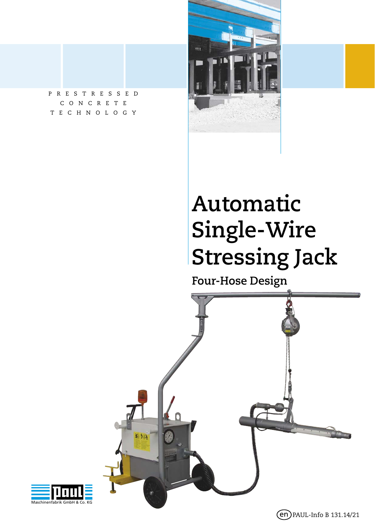



# **Automatic Single-Wire Stressing Jack**

**Four-Hose Design**



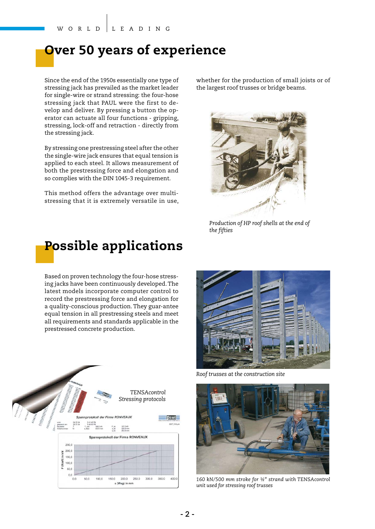#### **Over 50 years of experience**

Since the end of the 1950s essentially one type of stressing jack has prevailed as the market leader for single-wire or strand stressing: the four-hose stressing jack that PAUL were the first to develop and deliver. By pressing a button the operator can actuate all four functions - gripping, stressing, lock-off and retraction - directly from the stressing jack.

By stressing one prestressing steel after the other the single-wire jack ensures that equal tension is applied to each steel. It allows measurement of both the prestressing force and elongation and so complies with the DIN 1045-3 requirement.

This method offers the advantage over multistressing that it is extremely versatile in use, whether for the production of small joists or of the largest roof trusses or bridge beams.



*Production of HP roof shells at the end of the fifties*



Based on proven technology the four-hose stressing jacks have been continuously developed. The latest models incorporate computer control to record the prestressing force and elongation for a quality-conscious production. They guar-antee equal tension in all prestressing steels and meet all requirements and standards applicable in the prestressed concrete production.





*Roof trusses at the construction site*



*160 kN/500 mm stroke for ½" strand with TENSAcontrol unit used for stressing roof trusses*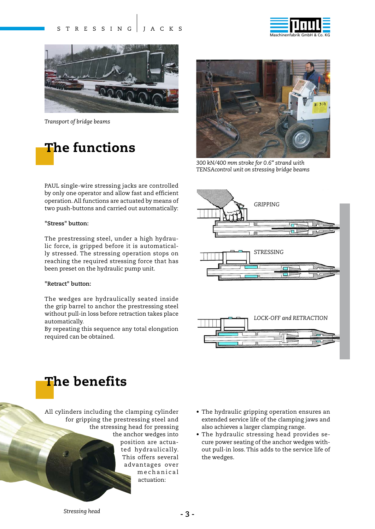



*Transport of bridge beams*

### **The functions**

PAUL single-wire stressing jacks are controlled by only one operator and allow fast and efficient operation. All functions are actuated by means of two push-buttons and carried out automatically:

#### **"Stress" button:**

The prestressing steel, under a high hydraulic force, is gripped before it is automatically stressed. The stressing operation stops on reaching the required stressing force that has been preset on the hydraulic pump unit.

#### **"Retract" button:**

The wedges are hydraulically seated inside the grip barrel to anchor the prestressing steel without pull-in loss before retraction takes place automatically.

By repeating this sequence any total elongation required can be obtained.



*300 kN/400 mm stroke for 0.6" strand with TENSAcontrol unit on stressing bridge beams*



### **The benefits**

All cylinders including the clamping cylinder for gripping the prestressing steel and the stressing head for pressing the anchor wedges into position are actua-

ted hydraulically. This offers several advantages over m e ch a n i c a l actuation:

- The hydraulic gripping operation ensures an extended service life of the clamping jaws and also achieves a larger clamping range.
- The hydraulic stressing head provides secure power seating of the anchor wedges without pull-in loss. This adds to the service life of the wedges.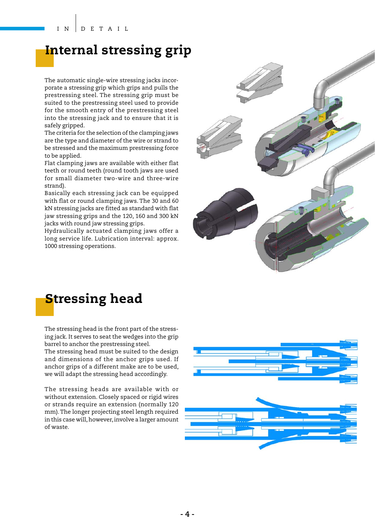#### **Internal stressing grip**

The automatic single-wire stressing jacks incorporate a stressing grip which grips and pulls the prestressing steel. The stressing grip must be suited to the prestressing steel used to provide for the smooth entry of the prestressing steel into the stressing jack and to ensure that it is safely gripped.

The criteria for the selection of the clamping jaws are the type and diameter of the wire or strand to be stressed and the maximum prestressing force to be applied.

Flat clamping jaws are available with either flat teeth or round teeth (round tooth jaws are used for small diameter two-wire and three-wire strand).

Basically each stressing jack can be equipped with flat or round clamping jaws. The 30 and 60 kN stressing jacks are fitted as standard with flat jaw stressing grips and the 120, 160 and 300 kN jacks with round jaw stressing grips.

Hydraulically actuated clamping jaws offer a long service life. Lubrication interval: approx. 1000 stressing operations.



### **Stressing head**

The stressing head is the front part of the stressing jack. It serves to seat the wedges into the grip barrel to anchor the prestressing steel.

The stressing head must be suited to the design and dimensions of the anchor grips used. If anchor grips of a different make are to be used, we will adapt the stressing head accordingly.

The stressing heads are available with or without extension. Closely spaced or rigid wires or strands require an extension (normally 120 mm). The longer projecting steel length required in this case will, however, involve a larger amount of waste.

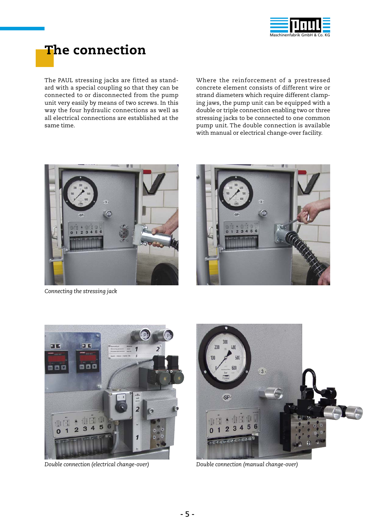

## **The connection**

The PAUL stressing jacks are fitted as standard with a special coupling so that they can be connected to or disconnected from the pump unit very easily by means of two screws. In this way the four hydraulic connections as well as all electrical connections are established at the same time.

Where the reinforcement of a prestressed concrete element consists of different wire or strand diameters which require different clamping jaws, the pump unit can be equipped with a double or triple connection enabling two or three stressing jacks to be connected to one common pump unit. The double connection is available with manual or electrical change-over facility.



*Connecting the stressing jack*





*Double connection (electrical change-over) Double connection (manual change-over)*

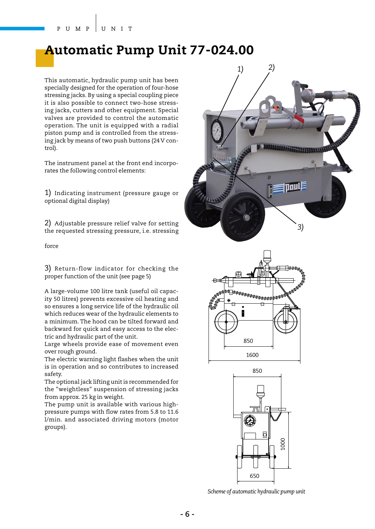#### **Automatic Pump Unit 77-024.00**

This automatic, hydraulic pump unit has been specially designed for the operation of four-hose stressing jacks. By using a special coupling piece it is also possible to connect two-hose stressing jacks, cutters and other equipment. Special valves are provided to control the automatic operation. The unit is equipped with a radial piston pump and is controlled from the stressing jack by means of two push buttons (24 V control).

The instrument panel at the front end incorporates the following control elements:

1) Indicating instrument (pressure gauge or optional digital display)

2) Adjustable pressure relief valve for setting the requested stressing pressure, i.e. stressing

force

3) Return-flow indicator for checking the proper function of the unit (see page 5)

A large-volume 100 litre tank (useful oil capacity 50 litres) prevents excessive oil heating and so ensures a long service life of the hydraulic oil which reduces wear of the hydraulic elements to a minimum. The hood can be tilted forward and backward for quick and easy access to the electric and hydraulic part of the unit.

Large wheels provide ease of movement even over rough ground.

The electric warning light flashes when the unit is in operation and so contributes to increased safety.

The optional jack lifting unit is recommended for the "weightless" suspension of stressing jacks from approx. 25 kg in weight.

The pump unit is available with various highpressure pumps with flow rates from 5.8 to 11.6 l/min. and associated driving motors (motor groups).







*Scheme of automatic hydraulic pump unit*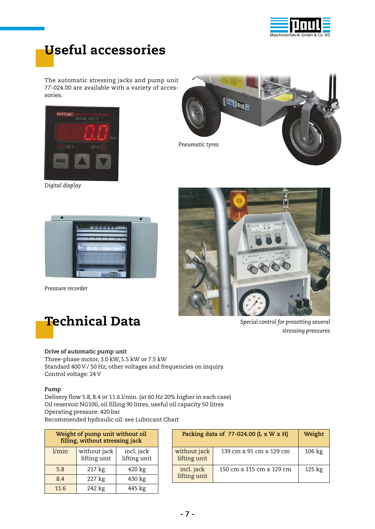

### **Useful accessories**

The automatic stressing jacks and pump unit 77-024.00 are available with a variety of accessories.



*Digital display*



*Pressure recorder*







*Special control for presetting several stressing pressures*

#### **Drive of automatic pump unit**

Three-phase motor, 3.0 kW, 5.5 kW or 7.5 kW Standard 400 V / 50 Hz; other voltages and frequencies on inquiry. Control voltage: 24 V

#### **Pump**

Delivery flow 5.8, 8.4 or 11.6 l/min. (at 60 Hz 20% higher in each case) Oil reservoir NG100, oil filling 90 litres, useful oil capacity 50 litres Operating pressure: 420 bar Recommended hydraulic oil: see Lubricant Chart

| Weight of pump unit without oil<br>filling, without stressing jack |                              |                            |  |  |  |  |  |
|--------------------------------------------------------------------|------------------------------|----------------------------|--|--|--|--|--|
| l/min                                                              | without jack<br>lifting unit | incl. jack<br>lifting unit |  |  |  |  |  |
| 5.8                                                                | 217 kg                       | 420 kg                     |  |  |  |  |  |
| 8.4                                                                | 227 kg                       | 430 kg                     |  |  |  |  |  |
| 11.6                                                               | 242 kg                       | 445 kg                     |  |  |  |  |  |

| Packing data of $77-024.00$ (L x W x H) | Weight                   |                  |  |
|-----------------------------------------|--------------------------|------------------|--|
| without jack<br>lifting unit            | 139 cm x 91 cm x 129 cm  | $106 \text{ kg}$ |  |
| incl. jack<br>lifting unit              | 150 cm x 115 cm x 129 cm | 125 kg           |  |